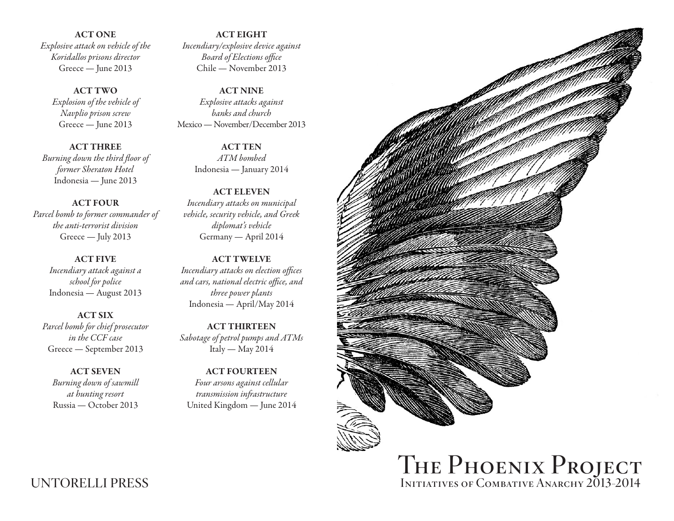ACT ONE *Explosive attack on vehicle of the Koridallos prisons director* Greece — June 2013

ACT TWO *Explosion of the vehicle of Navplio prison screw* Greece — June 2013

ACT THREE *Burning down the third floor of former Sheraton Hotel* Indonesia — June 2013

ACT FOUR *Parcel bomb to former commander of the anti-terrorist division* Greece — July 2013

> ACT FIVE *Incendiary attack against a school for police* Indonesia — August 2013

ACT SIX *Parcel bomb for chief prosecutor in the CCF case* Greece — September 2013

ACT SEVEN *Burning down of sawmill at hunting resort* Russia — October 2013

ACT EIGHT *Incendiary/explosive device against Board of Elections office* Chile — November 2013

ACT NINE *Explosive attacks against banks and church* Mexico — November/December 2013

> ACT TEN *ATM bombed* Indonesia — January 2014

ACT ELEVEN *Incendiary attacks on municipal vehicle, security vehicle, and Greek diplomat's vehicle* Germany — April 2014

ACT TWELVE *Incendiary attacks on election offices and cars, national electric office, and three power plants* Indonesia — April/May 2014

ACT THIRTEEN *Sabotage of petrol pumps and ATMs* Italy — May 2014

ACT FOURTEEN *Four arsons against cellular transmission infrastructure* United Kingdom — June 2014



UNTORELLI PRESS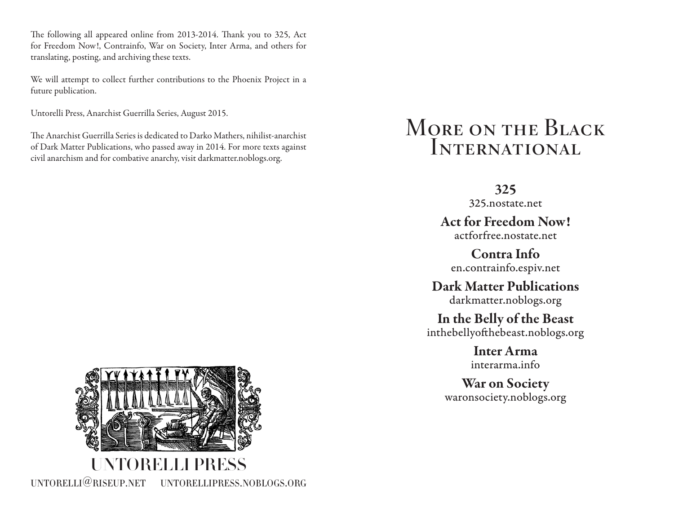The following all appeared online from 2013-2014. Thank you to 325, Act for Freedom Now!, Contrainfo, War on Society, Inter Arma, and others for translating, posting, and archiving these texts.

We will attempt to collect further contributions to the Phoenix Project in a future publication.

Untorelli Press, Anarchist Guerrilla Series, August 2015.

The Anarchist Guerrilla Series is dedicated to Darko Mathers, nihilist-anarchist of Dark Matter Publications, who passed away in 2014. For more texts against civil anarchism and for combative anarchy, visit darkmatter.noblogs.org.

## MORE ON THE BLACK **INTERNATIONAL**

325

325.nostate.net

Act for Freedom Now! actforfree.nostate.net

Contra Info en.contrainfo.espiv.net

Dark Matter Publications darkmatter.noblogs.org

In the Belly of the Beast inthebellyofthebeast.noblogs.org

> Inter Arma interarma.info

War on Society waronsociety.noblogs.org

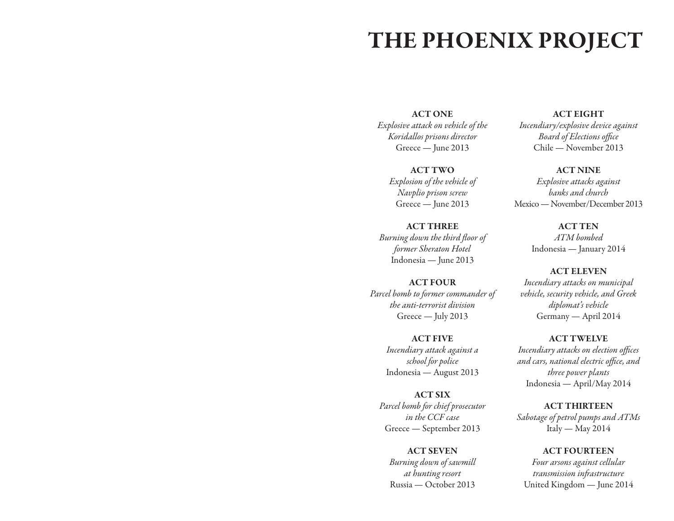## THE PHOENIX PROJECT

ACT ONE

*Explosive attack on vehicle of the Koridallos prisons director* Greece — June 2013

> ACT TWO *Explosion of the vehicle of Navplio prison screw* Greece — June 2013

ACT THREE *Burning down the third floor of former Sheraton Hotel* Indonesia — June 2013

### ACT FOUR *Parcel bomb to former commander of the anti-terrorist division* Greece — July 2013

ACT FIVE *Incendiary attack against a school for police* Indonesia — August 2013

ACT SIX *Parcel bomb for chief prosecutor in the CCF case* Greece — September 2013

ACT SEVEN *Burning down of sawmill at hunting resort* Russia — October 2013

ACT EIGHT *Incendiary/explosive device against Board of Elections office* Chile — November 2013

ACT NINE *Explosive attacks against banks and church* Mexico — November/December 2013

> ACT TEN *ATM bombed* Indonesia — January 2014

ACT ELEVEN *Incendiary attacks on municipal vehicle, security vehicle, and Greek diplomat's vehicle* Germany — April 2014

ACT TWELVE *Incendiary attacks on election offices and cars, national electric office, and three power plants* Indonesia — April/May 2014

ACT THIRTEEN *Sabotage of petrol pumps and ATMs* Italy — May 2014

ACT FOURTEEN *Four arsons against cellular transmission infrastructure* United Kingdom — June 2014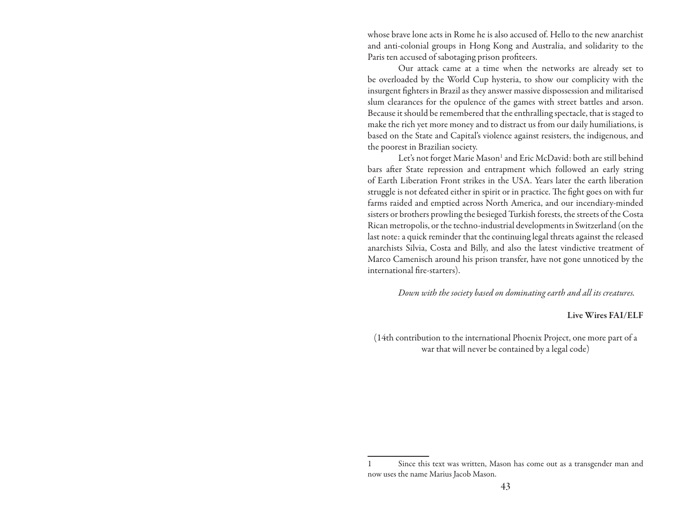whose brave lone acts in Rome he is also accused of. Hello to the new anarchist and anti-colonial groups in Hong Kong and Australia, and solidarity to the Paris ten accused of sabotaging prison profiteers.

Our attack came at a time when the networks are already set to be overloaded by the World Cup hysteria, to show our complicity with the insurgent fighters in Brazil as they answer massive dispossession and militarised slum clearances for the opulence of the games with street battles and arson. Because it should be remembered that the enthralling spectacle, that is staged to make the rich yet more money and to distract us from our daily humiliations, is based on the State and Capital's violence against resisters, the indigenous, and the poorest in Brazilian society.

Let's not forget Marie Mason<sup>1</sup> and Eric McDavid: both are still behind bars after State repression and entrapment which followed an early string of Earth Liberation Front strikes in the USA. Years later the earth liberation struggle is not defeated either in spirit or in practice. The fight goes on with fur farms raided and emptied across North America, and our incendiary-minded sisters or brothers prowling the besieged Turkish forests, the streets of the Costa Rican metropolis, or the techno-industrial developments in Switzerland (on the last note: a quick reminder that the continuing legal threats against the released anarchists Silvia, Costa and Billy, and also the latest vindictive treatment of Marco Camenisch around his prison transfer, have not gone unnoticed by the international fire-starters).

*Down with the society based on dominating earth and all its creatures.*

### Live Wires FAI/ELF

(14th contribution to the international Phoenix Project, one more part of a war that will never be contained by a legal code)

<sup>1</sup> Since this text was written, Mason has come out as a transgender man and now uses the name Marius Jacob Mason.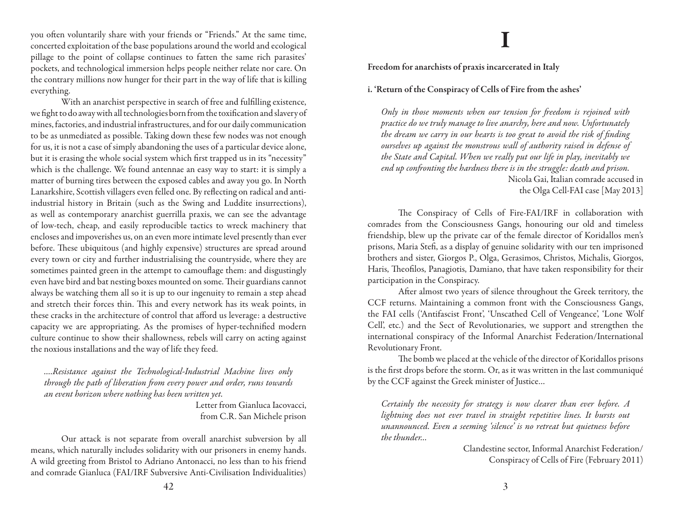you often voluntarily share with your friends or "Friends." At the same time, concerted exploitation of the base populations around the world and ecological pillage to the point of collapse continues to fatten the same rich parasites' pockets, and technological immersion helps people neither relate nor care. On the contrary millions now hunger for their part in the way of life that is killing everything.

With an anarchist perspective in search of free and fulfilling existence, we fight to do away with all technologies born from the toxification and slavery of mines, factories, and industrial infrastructures, and for our daily communication to be as unmediated as possible. Taking down these few nodes was not enough for us, it is not a case of simply abandoning the uses of a particular device alone, but it is erasing the whole social system which first trapped us in its "necessity" which is the challenge. We found antennae an easy way to start: it is simply a matter of burning tires between the exposed cables and away you go. In North Lanarkshire, Scottish villagers even felled one. By reflecting on radical and antiindustrial history in Britain (such as the Swing and Luddite insurrections), as well as contemporary anarchist guerrilla praxis, we can see the advantage of low-tech, cheap, and easily reproducible tactics to wreck machinery that encloses and impoverishes us, on an even more intimate level presently than ever before. These ubiquitous (and highly expensive) structures are spread around every town or city and further industrialising the countryside, where they are sometimes painted green in the attempt to camouflage them: and disgustingly even have bird and bat nesting boxes mounted on some. Their guardians cannot always be watching them all so it is up to our ingenuity to remain a step ahead and stretch their forces thin. This and every network has its weak points, in these cracks in the architecture of control that afford us leverage: a destructive capacity we are appropriating. As the promises of hyper-technified modern culture continue to show their shallowness, rebels will carry on acting against the noxious installations and the way of life they feed.

*….Resistance against the Technological-Industrial Machine lives only through the path of liberation from every power and order, runs towards an event horizon where nothing has been written yet.*

> Letter from Gianluca Iacovacci, from C.R. San Michele prison

Our attack is not separate from overall anarchist subversion by all means, which naturally includes solidarity with our prisoners in enemy hands. A wild greeting from Bristol to Adriano Antonacci, no less than to his friend and comrade Gianluca (FAI/IRF Subversive Anti-Civilisation Individualities)

## **I**

Freedom for anarchists of praxis incarcerated in Italy

i. 'Return of the Conspiracy of Cells of Fire from the ashes'

*Only in those moments when our tension for freedom is rejoined with practice do we truly manage to live anarchy, here and now. Unfortunately the dream we carry in our hearts is too great to avoid the risk of finding ourselves up against the monstrous wall of authority raised in defense of the State and Capital. When we really put our life in play, inevitably we end up confronting the hardness there is in the struggle: death and prison.* Nicola Gai, Italian comrade accused in the Olga Cell-FAI case [May 2013]

The Conspiracy of Cells of Fire-FAI/IRF in collaboration with comrades from the Consciousness Gangs, honouring our old and timeless friendship, blew up the private car of the female director of Koridallos men's prisons, Maria Stefi, as a display of genuine solidarity with our ten imprisoned brothers and sister, Giorgos P., Olga, Gerasimos, Christos, Michalis, Giorgos, Haris, Theofilos, Panagiotis, Damiano, that have taken responsibility for their participation in the Conspiracy.

After almost two years of silence throughout the Greek territory, the CCF returns. Maintaining a common front with the Consciousness Gangs, the FAI cells ('Antifascist Front', 'Unscathed Cell of Vengeance', 'Lone Wolf Cell', etc.) and the Sect of Revolutionaries, we support and strengthen the international conspiracy of the Informal Anarchist Federation/International Revolutionary Front.

The bomb we placed at the vehicle of the director of Koridallos prisons is the first drops before the storm. Or, as it was written in the last communiqué by the CCF against the Greek minister of Justice…

*Certainly the necessity for strategy is now clearer than ever before. A lightning does not ever travel in straight repetitive lines. It bursts out unannounced. Even a seeming 'silence' is no retreat but quietness before the thunder…*

> Clandestine sector, Informal Anarchist Federation/ Conspiracy of Cells of Fire (February 2011)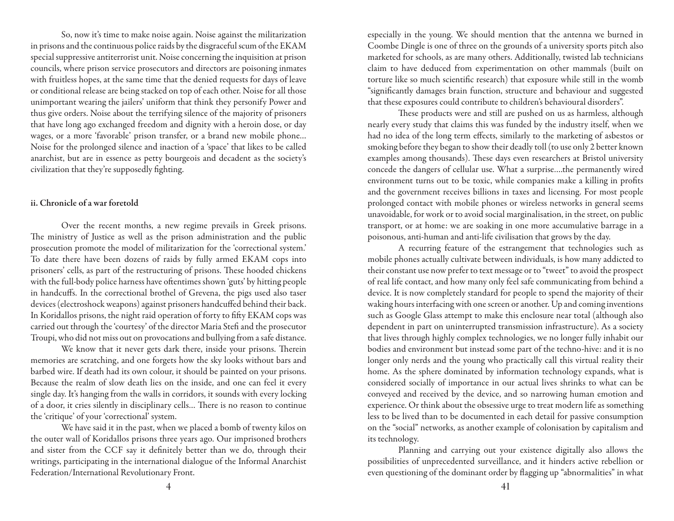So, now it's time to make noise again. Noise against the militarization in prisons and the continuous police raids by the disgraceful scum of the EKAM special suppressive antiterrorist unit. Noise concerning the inquisition at prison councils, where prison service prosecutors and directors are poisoning inmates with fruitless hopes, at the same time that the denied requests for days of leave or conditional release are being stacked on top of each other. Noise for all those unimportant wearing the jailers' uniform that think they personify Power and thus give orders. Noise about the terrifying silence of the majority of prisoners that have long ago exchanged freedom and dignity with a heroin dose, or day wages, or a more 'favorable' prison transfer, or a brand new mobile phone… Noise for the prolonged silence and inaction of a 'space' that likes to be called anarchist, but are in essence as petty bourgeois and decadent as the society's civilization that they're supposedly fighting.

### ii. Chronicle of a war foretold

Over the recent months, a new regime prevails in Greek prisons. The ministry of Justice as well as the prison administration and the public prosecution promote the model of militarization for the 'correctional system.' To date there have been dozens of raids by fully armed EKAM cops into prisoners' cells, as part of the restructuring of prisons. These hooded chickens with the full-body police harness have oftentimes shown 'guts' by hitting people in handcuffs. In the correctional brothel of Grevena, the pigs used also taser devices (electroshock weapons) against prisoners handcuffed behind their back. In Koridallos prisons, the night raid operation of forty to fifty EKAM cops was carried out through the 'courtesy' of the director Maria Stefi and the prosecutor Troupi, who did not miss out on provocations and bullying from a safe distance.

We know that it never gets dark there, inside your prisons. Therein memories are scratching, and one forgets how the sky looks without bars and barbed wire. If death had its own colour, it should be painted on your prisons. Because the realm of slow death lies on the inside, and one can feel it every single day. It's hanging from the walls in corridors, it sounds with every locking of a door, it cries silently in disciplinary cells… There is no reason to continue the 'critique' of your 'correctional' system.

We have said it in the past, when we placed a bomb of twenty kilos on the outer wall of Koridallos prisons three years ago. Our imprisoned brothers and sister from the CCF say it definitely better than we do, through their writings, participating in the international dialogue of the Informal Anarchist Federation/International Revolutionary Front.

especially in the young. We should mention that the antenna we burned in Coombe Dingle is one of three on the grounds of a university sports pitch also marketed for schools, as are many others. Additionally, twisted lab technicians claim to have deduced from experimentation on other mammals (built on torture like so much scientific research) that exposure while still in the womb "significantly damages brain function, structure and behaviour and suggested that these exposures could contribute to children's behavioural disorders".

These products were and still are pushed on us as harmless, although nearly every study that claims this was funded by the industry itself, when we had no idea of the long term effects, similarly to the marketing of asbestos or smoking before they began to show their deadly toll (to use only 2 better known examples among thousands). These days even researchers at Bristol university concede the dangers of cellular use. What a surprise….the permanently wired environment turns out to be toxic, while companies make a killing in profits and the government receives billions in taxes and licensing. For most people prolonged contact with mobile phones or wireless networks in general seems unavoidable, for work or to avoid social marginalisation, in the street, on public transport, or at home: we are soaking in one more accumulative barrage in a poisonous, anti-human and anti-life civilisation that grows by the day.

A recurring feature of the estrangement that technologies such as mobile phones actually cultivate between individuals, is how many addicted to their constant use now prefer to text message or to "tweet" to avoid the prospect of real life contact, and how many only feel safe communicating from behind a device. It is now completely standard for people to spend the majority of their waking hours interfacing with one screen or another. Up and coming inventions such as Google Glass attempt to make this enclosure near total (although also dependent in part on uninterrupted transmission infrastructure). As a society that lives through highly complex technologies, we no longer fully inhabit our bodies and environment but instead some part of the techno-hive: and it is no longer only nerds and the young who practically call this virtual reality their home. As the sphere dominated by information technology expands, what is considered socially of importance in our actual lives shrinks to what can be conveyed and received by the device, and so narrowing human emotion and experience. Or think about the obsessive urge to treat modern life as something less to be lived than to be documented in each detail for passive consumption on the "social" networks, as another example of colonisation by capitalism and its technology.

Planning and carrying out your existence digitally also allows the possibilities of unprecedented surveillance, and it hinders active rebellion or even questioning of the dominant order by flagging up "abnormalities" in what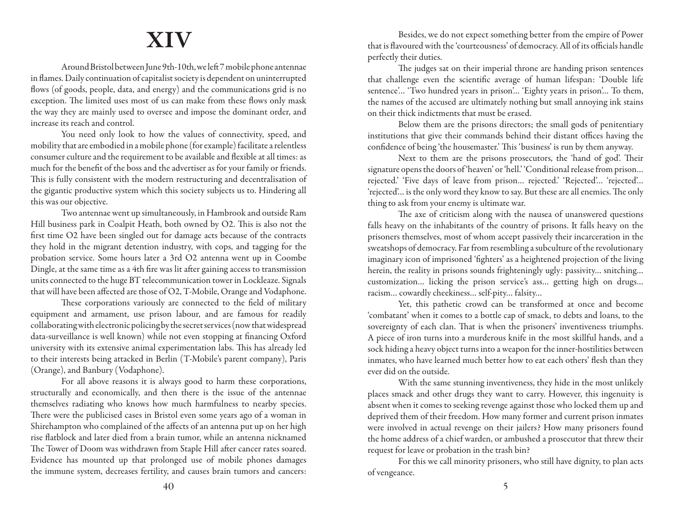## **XIV**

Around Bristol between June 9th-10th, we left 7 mobile phone antennae in flames. Daily continuation of capitalist society is dependent on uninterrupted flows (of goods, people, data, and energy) and the communications grid is no exception. The limited uses most of us can make from these flows only mask the way they are mainly used to oversee and impose the dominant order, and increase its reach and control.

You need only look to how the values of connectivity, speed, and mobility that are embodied in a mobile phone (for example) facilitate a relentless consumer culture and the requirement to be available and flexible at all times: as much for the benefit of the boss and the advertiser as for your family or friends. This is fully consistent with the modern restructuring and decentralisation of the gigantic productive system which this society subjects us to. Hindering all this was our objective.

Two antennae went up simultaneously, in Hambrook and outside Ram Hill business park in Coalpit Heath, both owned by O2. This is also not the first time O2 have been singled out for damage acts because of the contracts they hold in the migrant detention industry, with cops, and tagging for the probation service. Some hours later a 3rd O2 antenna went up in Coombe Dingle, at the same time as a 4th fire was lit after gaining access to transmission units connected to the huge BT telecommunication tower in Lockleaze. Signals that will have been affected are those of O2, T-Mobile, Orange and Vodaphone.

These corporations variously are connected to the field of military equipment and armament, use prison labour, and are famous for readily collaborating with electronic policing by the secret services (now that widespread data-surveillance is well known) while not even stopping at financing Oxford university with its extensive animal experimentation labs. This has already led to their interests being attacked in Berlin (T-Mobile's parent company), Paris (Orange), and Banbury (Vodaphone).

For all above reasons it is always good to harm these corporations, structurally and economically, and then there is the issue of the antennae themselves radiating who knows how much harmfulness to nearby species. There were the publicised cases in Bristol even some years ago of a woman in Shirehampton who complained of the affects of an antenna put up on her high rise flatblock and later died from a brain tumor, while an antenna nicknamed The Tower of Doom was withdrawn from Staple Hill after cancer rates soared. Evidence has mounted up that prolonged use of mobile phones damages the immune system, decreases fertility, and causes brain tumors and cancers:

Besides, we do not expect something better from the empire of Power that is flavoured with the 'courteousness' of democracy. All of its officials handle perfectly their duties.

The judges sat on their imperial throne are handing prison sentences that challenge even the scientific average of human lifespan: 'Double life sentence'… 'Two hundred years in prison'… 'Eighty years in prison'… To them, the names of the accused are ultimately nothing but small annoying ink stains on their thick indictments that must be erased.

Below them are the prisons directors; the small gods of penitentiary institutions that give their commands behind their distant offices having the confidence of being 'the housemaster.' This 'business' is run by them anyway.

Next to them are the prisons prosecutors, the 'hand of god'. Their signature opens the doors of 'heaven' or 'hell.' 'Conditional release from prison… rejected.' 'Five days of leave from prison… rejected.' 'Rejected'… 'rejected'… 'rejected'… is the only word they know to say. But these are all enemies. The only thing to ask from your enemy is ultimate war.

The axe of criticism along with the nausea of unanswered questions falls heavy on the inhabitants of the country of prisons. It falls heavy on the prisoners themselves, most of whom accept passively their incarceration in the sweatshops of democracy. Far from resembling a subculture of the revolutionary imaginary icon of imprisoned 'fighters' as a heightened projection of the living herein, the reality in prisons sounds frighteningly ugly: passivity… snitching… customization… licking the prison service's ass… getting high on drugs… racism… cowardly cheekiness… self-pity… falsity…

Yet, this pathetic crowd can be transformed at once and become 'combatant' when it comes to a bottle cap of smack, to debts and loans, to the sovereignty of each clan. That is when the prisoners' inventiveness triumphs. A piece of iron turns into a murderous knife in the most skillful hands, and a sock hiding a heavy object turns into a weapon for the inner-hostilities between inmates, who have learned much better how to eat each others' flesh than they ever did on the outside.

With the same stunning inventiveness, they hide in the most unlikely places smack and other drugs they want to carry. However, this ingenuity is absent when it comes to seeking revenge against those who locked them up and deprived them of their freedom. How many former and current prison inmates were involved in actual revenge on their jailers? How many prisoners found the home address of a chief warden, or ambushed a prosecutor that threw their request for leave or probation in the trash bin?

For this we call minority prisoners, who still have dignity, to plan acts of vengeance.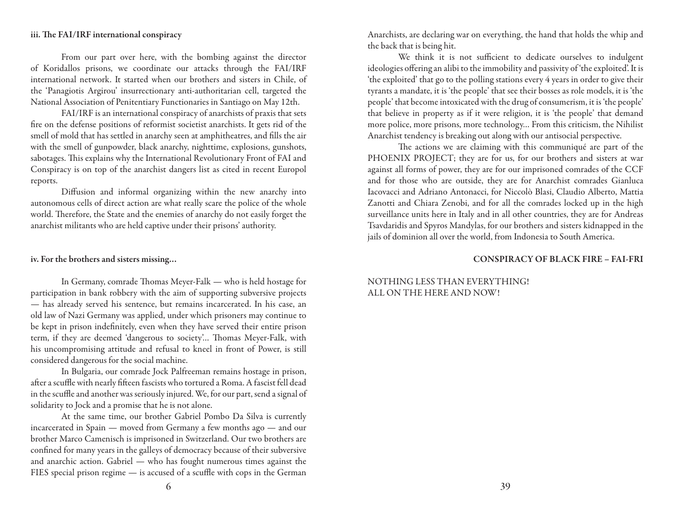### iii. The FAI/IRF international conspiracy

From our part over here, with the bombing against the director of Koridallos prisons, we coordinate our attacks through the FAI/IRF international network. It started when our brothers and sisters in Chile, of the 'Panagiotis Argirou' insurrectionary anti-authoritarian cell, targeted the National Association of Penitentiary Functionaries in Santiago on May 12th.

FAI/IRF is an international conspiracy of anarchists of praxis that sets fire on the defense positions of reformist societist anarchists. It gets rid of the smell of mold that has settled in anarchy seen at amphitheatres, and fills the air with the smell of gunpowder, black anarchy, nighttime, explosions, gunshots, sabotages. This explains why the International Revolutionary Front of FAI and Conspiracy is on top of the anarchist dangers list as cited in recent Europol reports.

Diffusion and informal organizing within the new anarchy into autonomous cells of direct action are what really scare the police of the whole world. Therefore, the State and the enemies of anarchy do not easily forget the anarchist militants who are held captive under their prisons' authority.

### iv. For the brothers and sisters missing…

In Germany, comrade Thomas Meyer-Falk — who is held hostage for participation in bank robbery with the aim of supporting subversive projects — has already served his sentence, but remains incarcerated. In his case, an old law of Nazi Germany was applied, under which prisoners may continue to be kept in prison indefinitely, even when they have served their entire prison term, if they are deemed 'dangerous to society'… Thomas Meyer-Falk, with his uncompromising attitude and refusal to kneel in front of Power, is still considered dangerous for the social machine.

In Bulgaria, our comrade Jock Palfreeman remains hostage in prison, after a scuffle with nearly fifteen fascists who tortured a Roma. A fascist fell dead in the scuffle and another was seriously injured. We, for our part, send a signal of solidarity to Jock and a promise that he is not alone.

At the same time, our brother Gabriel Pombo Da Silva is currently incarcerated in Spain — moved from Germany a few months ago — and our brother Marco Camenisch is imprisoned in Switzerland. Our two brothers are confined for many years in the galleys of democracy because of their subversive and anarchic action. Gabriel — who has fought numerous times against the FIES special prison regime — is accused of a scuffle with cops in the German

Anarchists, are declaring war on everything, the hand that holds the whip and the back that is being hit.

We think it is not sufficient to dedicate ourselves to indulgent ideologies offering an alibi to the immobility and passivity of 'the exploited'. It is 'the exploited' that go to the polling stations every 4 years in order to give their tyrants a mandate, it is 'the people' that see their bosses as role models, it is 'the people' that become intoxicated with the drug of consumerism, it is 'the people' that believe in property as if it were religion, it is 'the people' that demand more police, more prisons, more technology… From this criticism, the Nihilist Anarchist tendency is breaking out along with our antisocial perspective.

The actions we are claiming with this communiqué are part of the PHOENIX PROJECT; they are for us, for our brothers and sisters at war against all forms of power, they are for our imprisoned comrades of the CCF and for those who are outside, they are for Anarchist comrades Gianluca Iacovacci and Adriano Antonacci, for Niccolò Blasi, Claudio Alberto, Mattia Zanotti and Chiara Zenobi, and for all the comrades locked up in the high surveillance units here in Italy and in all other countries, they are for Andreas Tsavdaridis and Spyros Mandylas, for our brothers and sisters kidnapped in the jails of dominion all over the world, from Indonesia to South America.

#### CONSPIRACY OF BLACK FIRE – FAI-FRI

### NOTHING LESS THAN EVERYTHING! ALL ON THE HERE AND NOW!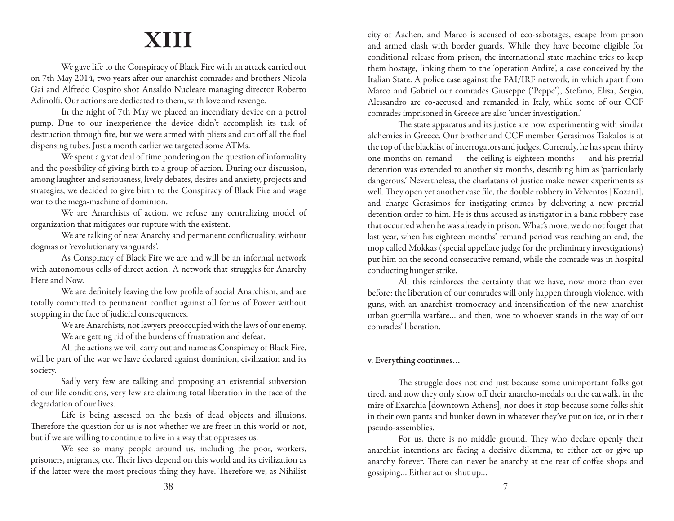## **XIII**

We gave life to the Conspiracy of Black Fire with an attack carried out on 7th May 2014, two years after our anarchist comrades and brothers Nicola Gai and Alfredo Cospito shot Ansaldo Nucleare managing director Roberto Adinolfi. Our actions are dedicated to them, with love and revenge.

In the night of 7th May we placed an incendiary device on a petrol pump. Due to our inexperience the device didn't accomplish its task of destruction through fire, but we were armed with pliers and cut off all the fuel dispensing tubes. Just a month earlier we targeted some ATMs.

We spent a great deal of time pondering on the question of informality and the possibility of giving birth to a group of action. During our discussion, among laughter and seriousness, lively debates, desires and anxiety, projects and strategies, we decided to give birth to the Conspiracy of Black Fire and wage war to the mega-machine of dominion.

We are Anarchists of action, we refuse any centralizing model of organization that mitigates our rupture with the existent.

We are talking of new Anarchy and permanent conflictuality, without dogmas or 'revolutionary vanguards'.

As Conspiracy of Black Fire we are and will be an informal network with autonomous cells of direct action. A network that struggles for Anarchy Here and Now.

We are definitely leaving the low profile of social Anarchism, and are totally committed to permanent conflict against all forms of Power without stopping in the face of judicial consequences.

> We are Anarchists, not lawyers preoccupied with the laws of our enemy. We are getting rid of the burdens of frustration and defeat.

All the actions we will carry out and name as Conspiracy of Black Fire, will be part of the war we have declared against dominion, civilization and its society.

Sadly very few are talking and proposing an existential subversion of our life conditions, very few are claiming total liberation in the face of the degradation of our lives.

Life is being assessed on the basis of dead objects and illusions. Therefore the question for us is not whether we are freer in this world or not, but if we are willing to continue to live in a way that oppresses us.

We see so many people around us, including the poor, workers, prisoners, migrants, etc. Their lives depend on this world and its civilization as if the latter were the most precious thing they have. Therefore we, as Nihilist city of Aachen, and Marco is accused of eco-sabotages, escape from prison and armed clash with border guards. While they have become eligible for conditional release from prison, the international state machine tries to keep them hostage, linking them to the 'operation Ardire', a case conceived by the Italian State. A police case against the FAI/IRF network, in which apart from Marco and Gabriel our comrades Giuseppe ('Peppe'), Stefano, Elisa, Sergio, Alessandro are co-accused and remanded in Italy, while some of our CCF comrades imprisoned in Greece are also 'under investigation.'

The state apparatus and its justice are now experimenting with similar alchemies in Greece. Our brother and CCF member Gerasimos Tsakalos is at the top of the blacklist of interrogators and judges. Currently, he has spent thirty one months on remand — the ceiling is eighteen months — and his pretrial detention was extended to another six months, describing him as 'particularly dangerous.' Nevertheless, the charlatans of justice make newer experiments as well. They open yet another case file, the double robbery in Velventos [Kozani], and charge Gerasimos for instigating crimes by delivering a new pretrial detention order to him. He is thus accused as instigator in a bank robbery case that occurred when he was already in prison. What's more, we do not forget that last year, when his eighteen months' remand period was reaching an end, the mop called Mokkas (special appellate judge for the preliminary investigations) put him on the second consecutive remand, while the comrade was in hospital conducting hunger strike.

All this reinforces the certainty that we have, now more than ever before: the liberation of our comrades will only happen through violence, with guns, with an anarchist tromocracy and intensification of the new anarchist urban guerrilla warfare… and then, woe to whoever stands in the way of our comrades' liberation.

### v. Everything continues…

The struggle does not end just because some unimportant folks got tired, and now they only show off their anarcho-medals on the catwalk, in the mire of Exarchia [downtown Athens], nor does it stop because some folks shit in their own pants and hunker down in whatever they've put on ice, or in their pseudo-assemblies.

For us, there is no middle ground. They who declare openly their anarchist intentions are facing a decisive dilemma, to either act or give up anarchy forever. There can never be anarchy at the rear of coffee shops and gossiping… Either act or shut up…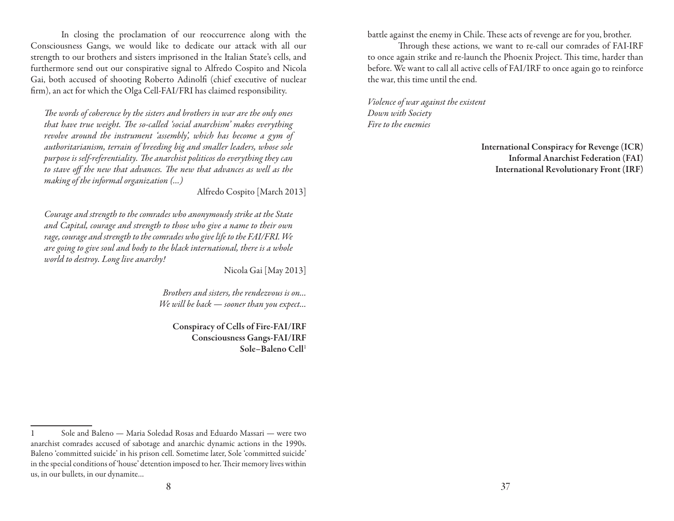In closing the proclamation of our reoccurrence along with the Consciousness Gangs, we would like to dedicate our attack with all our strength to our brothers and sisters imprisoned in the Italian State's cells, and furthermore send out our conspirative signal to Alfredo Cospito and Nicola Gai, both accused of shooting Roberto Adinolfi (chief executive of nuclear firm), an act for which the Olga Cell-FAI/FRI has claimed responsibility.

*The words of coherence by the sisters and brothers in war are the only ones that have true weight. The so-called 'social anarchism' makes everything revolve around the instrument 'assembly', which has become a gym of authoritarianism, terrain of breeding big and smaller leaders, whose sole purpose is self-referentiality. The anarchist politicos do everything they can to stave off the new that advances. The new that advances as well as the making of the informal organization (…)*

Alfredo Cospito [March 2013]

*Courage and strength to the comrades who anonymously strike at the State and Capital, courage and strength to those who give a name to their own rage, courage and strength to the comrades who give life to the FAI/FRI. We are going to give soul and body to the black international, there is a whole world to destroy. Long live anarchy!*

Nicola Gai [May 2013]

*Brothers and sisters, the rendezvous is on… We will be back — sooner than you expect…*

Conspiracy of Cells of Fire-FAI/IRF Consciousness Gangs-FAI/IRF Sole–Baleno Cell<sup>1</sup>

battle against the enemy in Chile. These acts of revenge are for you, brother.

Through these actions, we want to re-call our comrades of FAI-IRF to once again strike and re-launch the Phoenix Project. This time, harder than before. We want to call all active cells of FAI/IRF to once again go to reinforce the war, this time until the end.

*Violence of war against the existent Down with Society Fire to the enemies*

> International Conspiracy for Revenge (ICR) Informal Anarchist Federation (FAI) International Revolutionary Front (IRF)

<sup>1</sup> Sole and Baleno — Maria Soledad Rosas and Eduardo Massari — were two anarchist comrades accused of sabotage and anarchic dynamic actions in the 1990s. Baleno 'committed suicide' in his prison cell. Sometime later, Sole 'committed suicide' in the special conditions of 'house' detention imposed to her. Their memory lives within us, in our bullets, in our dynamite…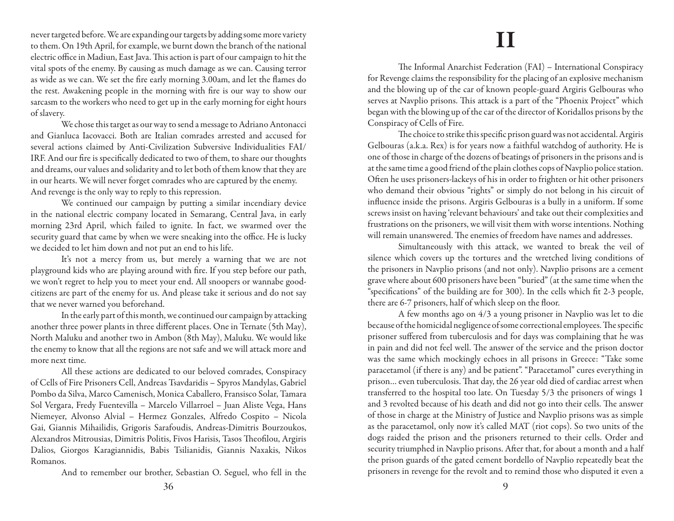never targeted before. We are expanding our targets by adding some more variety to them. On 19th April, for example, we burnt down the branch of the national electric office in Madiun, East Java. This action is part of our campaign to hit the vital spots of the enemy. By causing as much damage as we can. Causing terror as wide as we can. We set the fire early morning 3.00am, and let the flames do the rest. Awakening people in the morning with fire is our way to show our sarcasm to the workers who need to get up in the early morning for eight hours of slavery.

We chose this target as our way to send a message to Adriano Antonacci and Gianluca Iacovacci. Both are Italian comrades arrested and accused for several actions claimed by Anti-Civilization Subversive Individualities FAI/ IRF. And our fire is specifically dedicated to two of them, to share our thoughts and dreams, our values and solidarity and to let both of them know that they are in our hearts. We will never forget comrades who are captured by the enemy. And revenge is the only way to reply to this repression.

We continued our campaign by putting a similar incendiary device in the national electric company located in Semarang, Central Java, in early morning 23rd April, which failed to ignite. In fact, we swarmed over the security guard that came by when we were sneaking into the office. He is lucky we decided to let him down and not put an end to his life.

It's not a mercy from us, but merely a warning that we are not playground kids who are playing around with fire. If you step before our path, we won't regret to help you to meet your end. All snoopers or wannabe goodcitizens are part of the enemy for us. And please take it serious and do not say that we never warned you beforehand.

In the early part of this month, we continued our campaign by attacking another three power plants in three different places. One in Ternate (5th May), North Maluku and another two in Ambon (8th May), Maluku. We would like the enemy to know that all the regions are not safe and we will attack more and more next time.

All these actions are dedicated to our beloved comrades, Conspiracy of Cells of Fire Prisoners Cell, Andreas Tsavdaridis – Spyros Mandylas, Gabriel Pombo da Silva, Marco Camenisch, Monica Caballero, Fransisco Solar, Tamara Sol Vergara, Fredy Fuentevilla – Marcelo Villarroel – Juan Aliste Vega, Hans Niemeyer, Alvonso Alvial – Hermez Gonzales, Alfredo Cospito – Nicola Gai, Giannis Mihailidis, Grigoris Sarafoudis, Andreas-Dimitris Bourzoukos, Alexandros Mitrousias, Dimitris Politis, Fivos Harisis, Tasos Theofilou, Argiris Dalios, Giorgos Karagiannidis, Babis Tsilianidis, Giannis Naxakis, Nikos Romanos.

And to remember our brother, Sebastian O. Seguel, who fell in the

## **II**

The Informal Anarchist Federation (FAI) – International Conspiracy for Revenge claims the responsibility for the placing of an explosive mechanism and the blowing up of the car of known people-guard Argiris Gelbouras who serves at Navplio prisons. This attack is a part of the "Phoenix Project" which began with the blowing up of the car of the director of Koridallos prisons by the Conspiracy of Cells of Fire.

The choice to strike this specific prison guard was not accidental. Argiris Gelbouras (a.k.a. Rex) is for years now a faithful watchdog of authority. He is one of those in charge of the dozens of beatings of prisoners in the prisons and is at the same time a good friend of the plain clothes cops of Navplio police station. Often he uses prisoners-lackeys of his in order to frighten or hit other prisoners who demand their obvious "rights" or simply do not belong in his circuit of influence inside the prisons. Argiris Gelbouras is a bully in a uniform. If some screws insist on having 'relevant behaviours' and take out their complexities and frustrations on the prisoners, we will visit them with worse intentions. Nothing will remain unanswered. The enemies of freedom have names and addresses.

Simultaneously with this attack, we wanted to break the veil of silence which covers up the tortures and the wretched living conditions of the prisoners in Navplio prisons (and not only). Navplio prisons are a cement grave where about 600 prisoners have been "buried" (at the same time when the "specifications" of the building are for 300). In the cells which fit 2-3 people, there are 6-7 prisoners, half of which sleep on the floor.

A few months ago on 4/3 a young prisoner in Navplio was let to die because of the homicidal negligence of some correctional employees. The specific prisoner suffered from tuberculosis and for days was complaining that he was in pain and did not feel well. The answer of the service and the prison doctor was the same which mockingly echoes in all prisons in Greece: "Take some paracetamol (if there is any) and be patient". "Paracetamol" cures everything in prison… even tuberculosis. That day, the 26 year old died of cardiac arrest when transferred to the hospital too late. On Tuesday 5/3 the prisoners of wings 1 and 3 revolted because of his death and did not go into their cells. The answer of those in charge at the Ministry of Justice and Navplio prisons was as simple as the paracetamol, only now it's called MAT (riot cops). So two units of the dogs raided the prison and the prisoners returned to their cells. Order and security triumphed in Navplio prisons. After that, for about a month and a half the prison guards of the gated cement bordello of Navplio repeatedly beat the prisoners in revenge for the revolt and to remind those who disputed it even a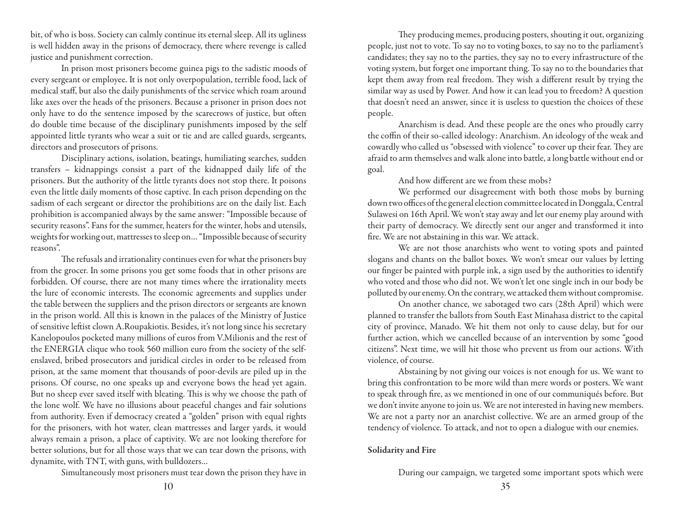bit, of who is boss. Society can calmly continue its eternal sleep. All its ugliness is well hidden away in the prisons of democracy, there where revenge is called justice and punishment correction.

In prison most prisoners become guinea pigs to the sadistic moods of every sergeant or employee. It is not only overpopulation, terrible food, lack of medical staff, but also the daily punishments of the service which roam around like axes over the heads of the prisoners. Because a prisoner in prison does not only have to do the sentence imposed by the scarecrows of justice, but often do double time because of the disciplinary punishments imposed by the self appointed little tyrants who wear a suit or tie and are called guards, sergeants, directors and prosecutors of prisons.

Disciplinary actions, isolation, beatings, humiliating searches, sudden transfers – kidnappings consist a part of the kidnapped daily life of the prisoners. But the authority of the little tyrants does not stop there. It poisons even the little daily moments of those captive. In each prison depending on the sadism of each sergeant or director the prohibitions are on the daily list. Each prohibition is accompanied always by the same answer: "Impossible because of security reasons". Fans for the summer, heaters for the winter, hobs and utensils, weights for working out, mattresses to sleep on… "Impossible because of security reasons".

The refusals and irrationality continues even for what the prisoners buy from the grocer. In some prisons you get some foods that in other prisons are forbidden. Of course, there are not many times where the irrationality meets the lure of economic interests. The economic agreements and supplies under the table between the suppliers and the prison directors or sergeants are known in the prison world. All this is known in the palaces of the Ministry of Justice of sensitive leftist clown A.Roupakiotis. Besides, it's not long since his secretary Kanelopoulos pocketed many millions of euros from V.Milionis and the rest of the ENERGIA clique who took 560 million euro from the society of the selfenslaved, bribed prosecutors and juridical circles in order to be released from prison, at the same moment that thousands of poor-devils are piled up in the prisons. Of course, no one speaks up and everyone bows the head yet again. But no sheep ever saved itself with bleating. This is why we choose the path of the lone wolf. We have no illusions about peaceful changes and fair solutions from authority. Even if democracy created a "golden" prison with equal rights for the prisoners, with hot water, clean mattresses and larger yards, it would always remain a prison, a place of captivity. We are not looking therefore for better solutions, but for all those ways that we can tear down the prisons, with dynamite, with TNT, with guns, with bulldozers…

Simultaneously most prisoners must tear down the prison they have in

They producing memes, producing posters, shouting it out, organizing people, just not to vote. To say no to voting boxes, to say no to the parliament's candidates; they say no to the parties, they say no to every infrastructure of the voting system, but forget one important thing. To say no to the boundaries that kept them away from real freedom. They wish a different result by trying the similar way as used by Power. And how it can lead you to freedom? A question that doesn't need an answer, since it is useless to question the choices of these people.

Anarchism is dead. And these people are the ones who proudly carry the coffin of their so-called ideology: Anarchism. An ideology of the weak and cowardly who called us "obsessed with violence" to cover up their fear. They are afraid to arm themselves and walk alone into battle, a long battle without end or goal.

And how different are we from these mobs?

We performed our disagreement with both those mobs by burning down two offices of the general election committee located in Donggala, Central Sulawesi on 16th April. We won't stay away and let our enemy play around with their party of democracy. We directly sent our anger and transformed it into fire. We are not abstaining in this war. We attack.

We are not those anarchists who went to voting spots and painted slogans and chants on the ballot boxes. We won't smear our values by letting our finger be painted with purple ink, a sign used by the authorities to identify who voted and those who did not. We won't let one single inch in our body be polluted by our enemy. On the contrary, we attacked them without compromise.

On another chance, we sabotaged two cars (28th April) which were planned to transfer the ballots from South East Minahasa district to the capital city of province, Manado. We hit them not only to cause delay, but for our further action, which we cancelled because of an intervention by some "good citizens". Next time, we will hit those who prevent us from our actions. With violence, of course.

Abstaining by not giving our voices is not enough for us. We want to bring this confrontation to be more wild than mere words or posters. We want to speak through fire, as we mentioned in one of our communiqués before. But we don't invite anyone to join us. We are not interested in having new members. We are not a party nor an anarchist collective. We are an armed group of the tendency of violence. To attack, and not to open a dialogue with our enemies.

### Solidarity and Fire

During our campaign, we targeted some important spots which were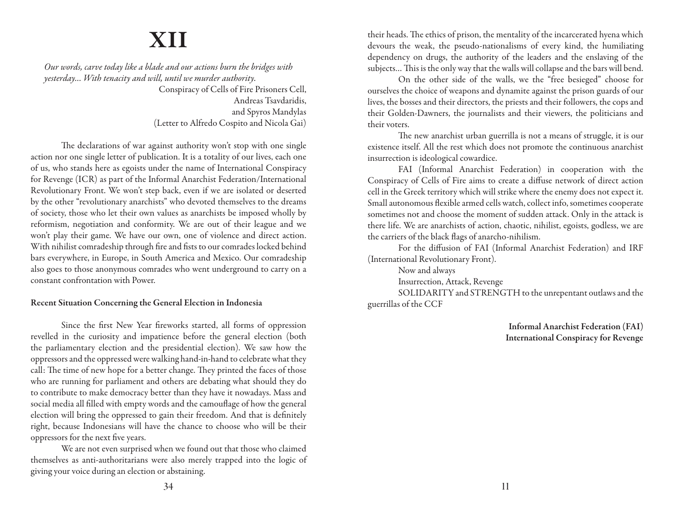## **XII**

*Our words, carve today like a blade and our actions burn the bridges with yesterday… With tenacity and will, until we murder authority.*

> Conspiracy of Cells of Fire Prisoners Cell, Andreas Tsavdaridis, and Spyros Mandylas (Letter to Alfredo Cospito and Nicola Gai)

The declarations of war against authority won't stop with one single action nor one single letter of publication. It is a totality of our lives, each one of us, who stands here as egoists under the name of International Conspiracy for Revenge (ICR) as part of the Informal Anarchist Federation/International Revolutionary Front. We won't step back, even if we are isolated or deserted by the other "revolutionary anarchists" who devoted themselves to the dreams of society, those who let their own values as anarchists be imposed wholly by reformism, negotiation and conformity. We are out of their league and we won't play their game. We have our own, one of violence and direct action. With nihilist comradeship through fire and fists to our comrades locked behind bars everywhere, in Europe, in South America and Mexico. Our comradeship also goes to those anonymous comrades who went underground to carry on a constant confrontation with Power.

### Recent Situation Concerning the General Election in Indonesia

Since the first New Year fireworks started, all forms of oppression revelled in the curiosity and impatience before the general election (both the parliamentary election and the presidential election). We saw how the oppressors and the oppressed were walking hand-in-hand to celebrate what they call: The time of new hope for a better change. They printed the faces of those who are running for parliament and others are debating what should they do to contribute to make democracy better than they have it nowadays. Mass and social media all filled with empty words and the camouflage of how the general election will bring the oppressed to gain their freedom. And that is definitely right, because Indonesians will have the chance to choose who will be their oppressors for the next five years.

We are not even surprised when we found out that those who claimed themselves as anti-authoritarians were also merely trapped into the logic of giving your voice during an election or abstaining.

their heads. The ethics of prison, the mentality of the incarcerated hyena which devours the weak, the pseudo-nationalisms of every kind, the humiliating dependency on drugs, the authority of the leaders and the enslaving of the subjects… This is the only way that the walls will collapse and the bars will bend.

On the other side of the walls, we the "free besieged" choose for ourselves the choice of weapons and dynamite against the prison guards of our lives, the bosses and their directors, the priests and their followers, the cops and their Golden-Dawners, the journalists and their viewers, the politicians and their voters.

The new anarchist urban guerrilla is not a means of struggle, it is our existence itself. All the rest which does not promote the continuous anarchist insurrection is ideological cowardice.

FAI (Informal Anarchist Federation) in cooperation with the Conspiracy of Cells of Fire aims to create a diffuse network of direct action cell in the Greek territory which will strike where the enemy does not expect it. Small autonomous flexible armed cells watch, collect info, sometimes cooperate sometimes not and choose the moment of sudden attack. Only in the attack is there life. We are anarchists of action, chaotic, nihilist, egoists, godless, we are the carriers of the black flags of anarcho-nihilism.

For the diffusion of FAI (Informal Anarchist Federation) and IRF (International Revolutionary Front).

Now and always

Insurrection, Attack, Revenge

SOLIDARITY and STRENGTH to the unrepentant outlaws and the guerrillas of the CCF

> Informal Anarchist Federation (FAI) International Conspiracy for Revenge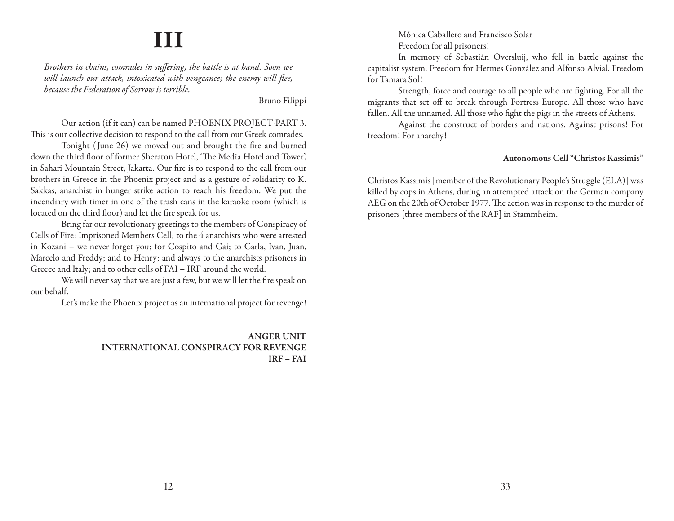## **III**

*Brothers in chains, comrades in suffering, the battle is at hand. Soon we will launch our attack, intoxicated with vengeance; the enemy will flee, because the Federation of Sorrow is terrible.*

Bruno Filippi

Our action (if it can) can be named PHOENIX PROJECT-PART 3. This is our collective decision to respond to the call from our Greek comrades.

Tonight (June 26) we moved out and brought the fire and burned down the third floor of former Sheraton Hotel, 'The Media Hotel and Tower', in Sahari Mountain Street, Jakarta. Our fire is to respond to the call from our brothers in Greece in the Phoenix project and as a gesture of solidarity to K. Sakkas, anarchist in hunger strike action to reach his freedom. We put the incendiary with timer in one of the trash cans in the karaoke room (which is located on the third floor) and let the fire speak for us.

Bring far our revolutionary greetings to the members of Conspiracy of Cells of Fire: Imprisoned Members Cell; to the 4 anarchists who were arrested in Kozani – we never forget you; for Cospito and Gai; to Carla, Ivan, Juan, Marcelo and Freddy; and to Henry; and always to the anarchists prisoners in Greece and Italy; and to other cells of FAI – IRF around the world.

We will never say that we are just a few, but we will let the fire speak on our behalf.

Let's make the Phoenix project as an international project for revenge!

ANGER UNIT INTERNATIONAL CONSPIRACY FOR REVENGE IRF – FAI

Mónica Caballero and Francisco Solar Freedom for all prisoners!

In memory of Sebastián Oversluij, who fell in battle against the capitalist system. Freedom for Hermes González and Alfonso Alvial. Freedom for Tamara Sol!

Strength, force and courage to all people who are fighting. For all the migrants that set off to break through Fortress Europe. All those who have fallen. All the unnamed. All those who fight the pigs in the streets of Athens.

Against the construct of borders and nations. Against prisons! For freedom! For anarchy!

### Autonomous Cell "Christos Kassimis"

Christos Kassimis [member of the Revolutionary People's Struggle (ELA)] was killed by cops in Athens, during an attempted attack on the German company AEG on the 20th of October 1977. The action was in response to the murder of prisoners [three members of the RAF] in Stammheim.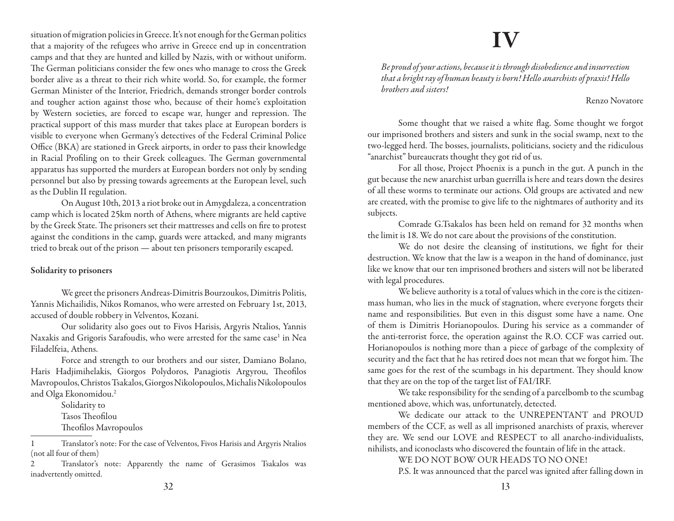situation of migration policies in Greece. It's not enough for the German politics that a majority of the refugees who arrive in Greece end up in concentration camps and that they are hunted and killed by Nazis, with or without uniform. The German politicians consider the few ones who manage to cross the Greek border alive as a threat to their rich white world. So, for example, the former German Minister of the Interior, Friedrich, demands stronger border controls and tougher action against those who, because of their home's exploitation by Western societies, are forced to escape war, hunger and repression. The practical support of this mass murder that takes place at European borders is visible to everyone when Germany's detectives of the Federal Criminal Police Office (BKA) are stationed in Greek airports, in order to pass their knowledge in Racial Profiling on to their Greek colleagues. The German governmental apparatus has supported the murders at European borders not only by sending personnel but also by pressing towards agreements at the European level, such as the Dublin II regulation.

On August 10th, 2013 a riot broke out in Amygdaleza, a concentration camp which is located 25km north of Athens, where migrants are held captive by the Greek State. The prisoners set their mattresses and cells on fire to protest against the conditions in the camp, guards were attacked, and many migrants tried to break out of the prison — about ten prisoners temporarily escaped.

### Solidarity to prisoners

We greet the prisoners Andreas-Dimitris Bourzoukos, Dimitris Politis, Yannis Michailidis, Nikos Romanos, who were arrested on February 1st, 2013, accused of double robbery in Velventos, Kozani.

Our solidarity also goes out to Fivos Harisis, Argyris Ntalios, Yannis Naxakis and Grigoris Sarafoudis, who were arrested for the same case<sup>1</sup> in Nea Filadelfeia, Athens.

Force and strength to our brothers and our sister, Damiano Bolano, Haris Hadjimihelakis, Giorgos Polydoros, Panagiotis Argyrou, Theofilos Mavropoulos, Christos Tsakalos, Giorgos Nikolopoulos, Michalis Nikolopoulos and Olga Ekonomidou.2

Solidarity to Tasos Theofilou Theofilos Mavropoulos

1 Translator's note: For the case of Velventos, Fivos Harisis and Argyris Ntalios (not all four of them)

2 Translator's note: Apparently the name of Gerasimos Tsakalos was inadvertently omitted.

### **IV**

*Be proud of your actions, because it is through disobedience and insurrection that a bright ray of human beauty is born! Hello anarchists of praxis! Hello brothers and sisters!*

### Renzo Novatore

Some thought that we raised a white flag. Some thought we forgot our imprisoned brothers and sisters and sunk in the social swamp, next to the two-legged herd. The bosses, journalists, politicians, society and the ridiculous "anarchist" bureaucrats thought they got rid of us.

For all those, Project Phoenix is a punch in the gut. A punch in the gut because the new anarchist urban guerrilla is here and tears down the desires of all these worms to terminate our actions. Old groups are activated and new are created, with the promise to give life to the nightmares of authority and its subjects.

Comrade G.Tsakalos has been held on remand for 32 months when the limit is 18. We do not care about the provisions of the constitution.

We do not desire the cleansing of institutions, we fight for their destruction. We know that the law is a weapon in the hand of dominance, just like we know that our ten imprisoned brothers and sisters will not be liberated with legal procedures.

We believe authority is a total of values which in the core is the citizenmass human, who lies in the muck of stagnation, where everyone forgets their name and responsibilities. But even in this disgust some have a name. One of them is Dimitris Horianopoulos. During his service as a commander of the anti-terrorist force, the operation against the R.O. CCF was carried out. Horianopoulos is nothing more than a piece of garbage of the complexity of security and the fact that he has retired does not mean that we forgot him. The same goes for the rest of the scumbags in his department. They should know that they are on the top of the target list of FAI/IRF.

We take responsibility for the sending of a parcelbomb to the scumbag mentioned above, which was, unfortunately, detected.

We dedicate our attack to the UNREPENTANT and PROUD members of the CCF, as well as all imprisoned anarchists of praxis, wherever they are. We send our LOVE and RESPECT to all anarcho-individualists, nihilists, and iconoclasts who discovered the fountain of life in the attack.

WE DO NOT BOW OUR HEADS TO NO ONE!

P.S. It was announced that the parcel was ignited after falling down in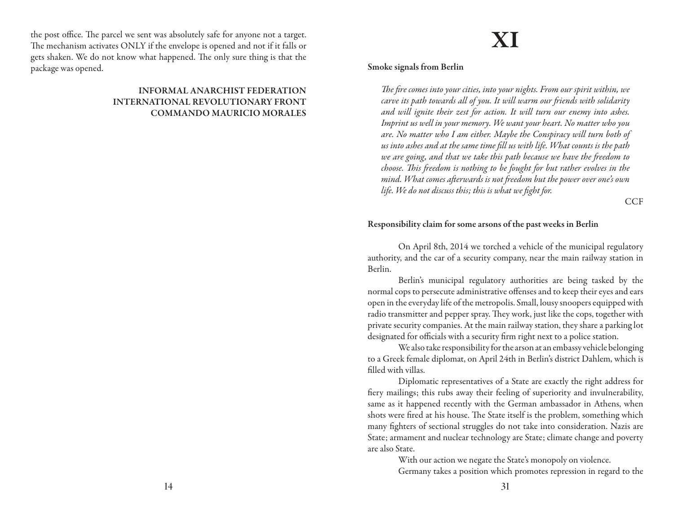the post office. The parcel we sent was absolutely safe for anyone not a target. The mechanism activates ONLY if the envelope is opened and not if it falls or gets shaken. We do not know what happened. The only sure thing is that the package was opened.

### INFORMAL ANARCHIST FEDERATION INTERNATIONAL REVOLUTIONARY FRONT COMMANDO MAURICIO MORALES

## **XI**

Smoke signals from Berlin

*The fire comes into your cities, into your nights. From our spirit within, we carve its path towards all of you. It will warm our friends with solidarity and will ignite their zest for action. It will turn our enemy into ashes. Imprint us well in your memory. We want your heart. No matter who you are. No matter who I am either. Maybe the Conspiracy will turn both of us into ashes and at the same time fill us with life. What counts is the path we are going, and that we take this path because we have the freedom to choose. This freedom is nothing to be fought for but rather evolves in the mind. What comes afterwards is not freedom but the power over one's own life. We do not discuss this; this is what we fight for.*

**CCF** 

### Responsibility claim for some arsons of the past weeks in Berlin

On April 8th, 2014 we torched a vehicle of the municipal regulatory authority, and the car of a security company, near the main railway station in Berlin.

Berlin's municipal regulatory authorities are being tasked by the normal cops to persecute administrative offenses and to keep their eyes and ears open in the everyday life of the metropolis. Small, lousy snoopers equipped with radio transmitter and pepper spray. They work, just like the cops, together with private security companies. At the main railway station, they share a parking lot designated for officials with a security firm right next to a police station.

We also take responsibility for the arson at an embassy vehicle belonging to a Greek female diplomat, on April 24th in Berlin's district Dahlem, which is filled with villas.

Diplomatic representatives of a State are exactly the right address for fiery mailings; this rubs away their feeling of superiority and invulnerability, same as it happened recently with the German ambassador in Athens, when shots were fired at his house. The State itself is the problem, something which many fighters of sectional struggles do not take into consideration. Nazis are State; armament and nuclear technology are State; climate change and poverty are also State.

> With our action we negate the State's monopoly on violence. Germany takes a position which promotes repression in regard to the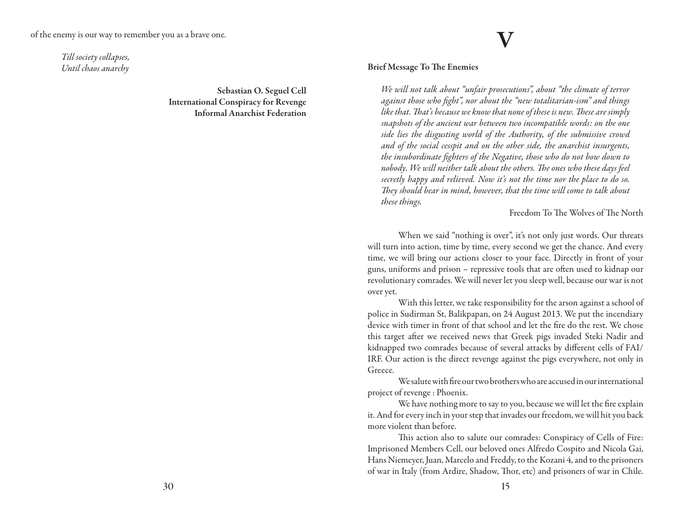*Till society collapses, Until chaos anarchy*

> Sebastian O. Seguel Cell International Conspiracy for Revenge Informal Anarchist Federation

### Brief Message To The Enemies

*We will not talk about "unfair prosecutions", about "the climate of terror against those who fight", nor about the "new totalitarian-ism" and things like that. That's because we know that none of these is new. These are simply snapshots of the ancient war between two incompatible words: on the one side lies the disgusting world of the Authority, of the submissive crowd and of the social cesspit and on the other side, the anarchist insurgents, the insubordinate fighters of the Negative, those who do not bow down to nobody. We will neither talk about the others. The ones who these days feel secretly happy and relieved. Now it's not the time nor the place to do so. They should bear in mind, however, that the time will come to talk about these things.*

**V**

Freedom To The Wolves of The North

When we said "nothing is over", it's not only just words. Our threats will turn into action, time by time, every second we get the chance. And every time, we will bring our actions closer to your face. Directly in front of your guns, uniforms and prison – repressive tools that are often used to kidnap our revolutionary comrades. We will never let you sleep well, because our war is not over yet.

With this letter, we take responsibility for the arson against a school of police in Sudirman St, Balikpapan, on 24 August 2013. We put the incendiary device with timer in front of that school and let the fire do the rest. We chose this target after we received news that Greek pigs invaded Steki Nadir and kidnapped two comrades because of several attacks by different cells of FAI/ IRF. Our action is the direct revenge against the pigs everywhere, not only in Greece.

We salute with fire our two brothers who are accused in our international project of revenge : Phoenix.

We have nothing more to say to you, because we will let the fire explain it. And for every inch in your step that invades our freedom, we will hit you back more violent than before.

This action also to salute our comrades: Conspiracy of Cells of Fire: Imprisoned Members Cell, our beloved ones Alfredo Cospito and Nicola Gai, Hans Niemeyer, Juan, Marcelo and Freddy, to the Kozani 4, and to the prisoners of war in Italy (from Ardire, Shadow, Thor, etc) and prisoners of war in Chile.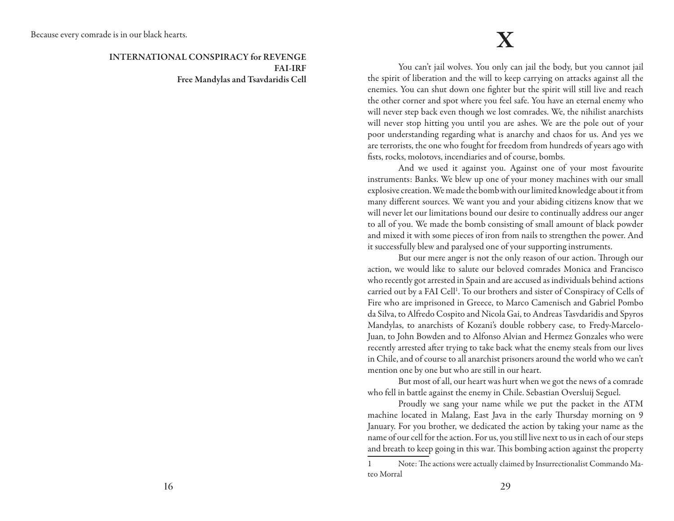INTERNATIONAL CONSPIRACY for REVENGE FAI-IRF Free Mandylas and Tsavdaridis Cell

You can't jail wolves. You only can jail the body, but you cannot jail the spirit of liberation and the will to keep carrying on attacks against all the enemies. You can shut down one fighter but the spirit will still live and reach the other corner and spot where you feel safe. You have an eternal enemy who will never step back even though we lost comrades. We, the nihilist anarchists will never stop hitting you until you are ashes. We are the pole out of your poor understanding regarding what is anarchy and chaos for us. And yes we are terrorists, the one who fought for freedom from hundreds of years ago with fists, rocks, molotovs, incendiaries and of course, bombs.

And we used it against you. Against one of your most favourite instruments: Banks. We blew up one of your money machines with our small explosive creation. We made the bomb with our limited knowledge about it from many different sources. We want you and your abiding citizens know that we will never let our limitations bound our desire to continually address our anger to all of you. We made the bomb consisting of small amount of black powder and mixed it with some pieces of iron from nails to strengthen the power. And it successfully blew and paralysed one of your supporting instruments.

But our mere anger is not the only reason of our action. Through our action, we would like to salute our beloved comrades Monica and Francisco who recently got arrested in Spain and are accused as individuals behind actions carried out by a FAI Cell<sup>1</sup>. To our brothers and sister of Conspiracy of Cells of Fire who are imprisoned in Greece, to Marco Camenisch and Gabriel Pombo da Silva, to Alfredo Cospito and Nicola Gai, to Andreas Tasvdaridis and Spyros Mandylas, to anarchists of Kozani's double robbery case, to Fredy-Marcelo-Juan, to John Bowden and to Alfonso Alvian and Hermez Gonzales who were recently arrested after trying to take back what the enemy steals from our lives in Chile, and of course to all anarchist prisoners around the world who we can't mention one by one but who are still in our heart.

But most of all, our heart was hurt when we got the news of a comrade who fell in battle against the enemy in Chile. Sebastian Oversluij Seguel.

Proudly we sang your name while we put the packet in the ATM machine located in Malang, East Java in the early Thursday morning on 9 January. For you brother, we dedicated the action by taking your name as the name of our cell for the action. For us, you still live next to us in each of our steps and breath to keep going in this war. This bombing action against the property

<sup>1</sup> Note: The actions were actually claimed by Insurrectionalist Commando Mateo Morral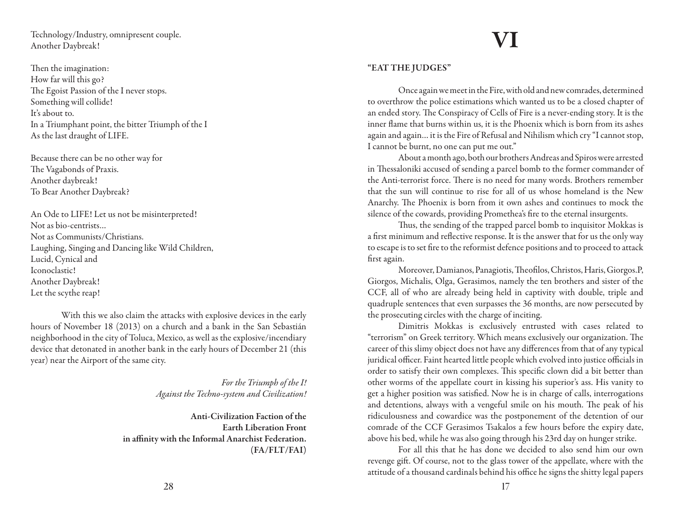Technology/Industry, omnipresent couple. Another Daybreak!

Then the imagination: How far will this go? The Egoist Passion of the I never stops. Something will collide! It's about to. In a Triumphant point, the bitter Triumph of the I As the last draught of LIFE.

Because there can be no other way for The Vagabonds of Praxis. Another daybreak! To Bear Another Daybreak?

An Ode to LIFE! Let us not be misinterpreted! Not as bio-centrists… Not as Communists/Christians. Laughing, Singing and Dancing like Wild Children, Lucid, Cynical and Iconoclastic! Another Daybreak! Let the scythe reap!

With this we also claim the attacks with explosive devices in the early hours of November 18 (2013) on a church and a bank in the San Sebastián neighborhood in the city of Toluca, Mexico, as well as the explosive/incendiary device that detonated in another bank in the early hours of December 21 (this year) near the Airport of the same city.

> *For the Triumph of the I! Against the Techno-system and Civilization!*

Anti-Civilization Faction of the Earth Liberation Front in affinity with the Informal Anarchist Federation. (FA/FLT/FAI)

# **VI**

### "EAT THE JUDGES"

Once again we meet in the Fire, with old and new comrades, determined to overthrow the police estimations which wanted us to be a closed chapter of an ended story. The Conspiracy of Cells of Fire is a never-ending story. It is the inner flame that burns within us, it is the Phoenix which is born from its ashes again and again… it is the Fire of Refusal and Nihilism which cry "I cannot stop, I cannot be burnt, no one can put me out."

About a month ago, both our brothers Andreas and Spiros were arrested in Thessaloniki accused of sending a parcel bomb to the former commander of the Anti-terrorist force. There is no need for many words. Brothers remember that the sun will continue to rise for all of us whose homeland is the New Anarchy. The Phoenix is born from it own ashes and continues to mock the silence of the cowards, providing Promethea's fire to the eternal insurgents.

Thus, the sending of the trapped parcel bomb to inquisitor Mokkas is a first minimum and reflective response. It is the answer that for us the only way to escape is to set fire to the reformist defence positions and to proceed to attack first again.

Moreover, Damianos, Panagiotis, Theofilos, Christos, Haris, Giorgos.P, Giorgos, Michalis, Olga, Gerasimos, namely the ten brothers and sister of the CCF, all of who are already being held in captivity with double, triple and quadruple sentences that even surpasses the 36 months, are now persecuted by the prosecuting circles with the charge of inciting.

Dimitris Mokkas is exclusively entrusted with cases related to "terrorism" on Greek territory. Which means exclusively our organization. The career of this slimy object does not have any differences from that of any typical juridical officer. Faint hearted little people which evolved into justice officials in order to satisfy their own complexes. This specific clown did a bit better than other worms of the appellate court in kissing his superior's ass. His vanity to get a higher position was satisfied. Now he is in charge of calls, interrogations and detentions, always with a vengeful smile on his mouth. The peak of his ridiculousness and cowardice was the postponement of the detention of our comrade of the CCF Gerasimos Tsakalos a few hours before the expiry date, above his bed, while he was also going through his 23rd day on hunger strike.

For all this that he has done we decided to also send him our own revenge gift. Of course, not to the glass tower of the appellate, where with the attitude of a thousand cardinals behind his office he signs the shitty legal papers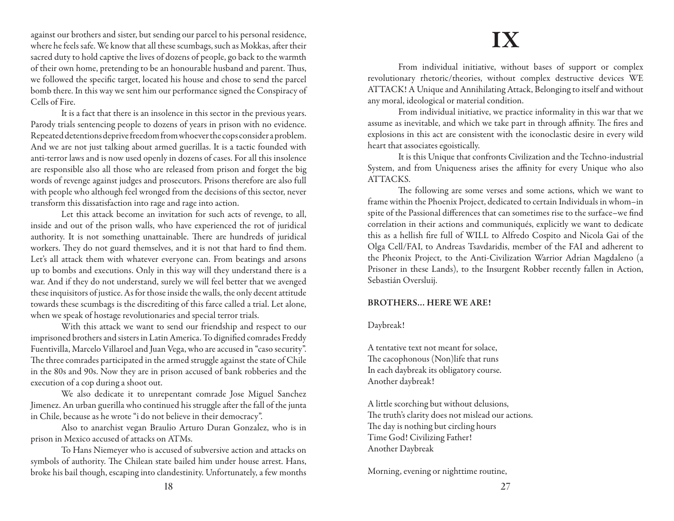against our brothers and sister, but sending our parcel to his personal residence, where he feels safe. We know that all these scumbags, such as Mokkas, after their sacred duty to hold captive the lives of dozens of people, go back to the warmth of their own home, pretending to be an honourable husband and parent. Thus, we followed the specific target, located his house and chose to send the parcel bomb there. In this way we sent him our performance signed the Conspiracy of Cells of Fire.

It is a fact that there is an insolence in this sector in the previous years. Parody trials sentencing people to dozens of years in prison with no evidence. Repeated detentions deprive freedom from whoever the cops consider a problem. And we are not just talking about armed guerillas. It is a tactic founded with anti-terror laws and is now used openly in dozens of cases. For all this insolence are responsible also all those who are released from prison and forget the big words of revenge against judges and prosecutors. Prisons therefore are also full with people who although feel wronged from the decisions of this sector, never transform this dissatisfaction into rage and rage into action.

Let this attack become an invitation for such acts of revenge, to all, inside and out of the prison walls, who have experienced the rot of juridical authority. It is not something unattainable. There are hundreds of juridical workers. They do not guard themselves, and it is not that hard to find them. Let's all attack them with whatever everyone can. From beatings and arsons up to bombs and executions. Only in this way will they understand there is a war. And if they do not understand, surely we will feel better that we avenged these inquisitors of justice. As for those inside the walls, the only decent attitude towards these scumbags is the discrediting of this farce called a trial. Let alone, when we speak of hostage revolutionaries and special terror trials.

With this attack we want to send our friendship and respect to our imprisoned brothers and sisters in Latin America. To dignified comrades Freddy Fuentivilla, Marcelo Villaroel and Juan Vega, who are accused in "caso security". The three comrades participated in the armed struggle against the state of Chile in the 80s and 90s. Now they are in prison accused of bank robberies and the execution of a cop during a shoot out.

We also dedicate it to unrepentant comrade Jose Miguel Sanchez Jimenez. An urban guerilla who continued his struggle after the fall of the junta in Chile, because as he wrote "i do not believe in their democracy".

Also to anarchist vegan Braulio Arturo Duran Gonzalez, who is in prison in Mexico accused of attacks on ATMs.

To Hans Niemeyer who is accused of subversive action and attacks on symbols of authority. The Chilean state bailed him under house arrest. Hans, broke his bail though, escaping into clandestinity. Unfortunately, a few months

### **IX**

From individual initiative, without bases of support or complex revolutionary rhetoric/theories, without complex destructive devices WE ATTACK! A Unique and Annihilating Attack, Belonging to itself and without any moral, ideological or material condition.

From individual initiative, we practice informality in this war that we assume as inevitable, and which we take part in through affinity. The fires and explosions in this act are consistent with the iconoclastic desire in every wild heart that associates egoistically.

It is this Unique that confronts Civilization and the Techno-industrial System, and from Uniqueness arises the affinity for every Unique who also ATTACKS.

The following are some verses and some actions, which we want to frame within the Phoenix Project, dedicated to certain Individuals in whom–in spite of the Passional differences that can sometimes rise to the surface–we find correlation in their actions and communiqués, explicitly we want to dedicate this as a hellish fire full of WILL to Alfredo Cospito and Nicola Gai of the Olga Cell/FAI, to Andreas Tsavdaridis, member of the FAI and adherent to the Pheonix Project, to the Anti-Civilization Warrior Adrian Magdaleno (a Prisoner in these Lands), to the Insurgent Robber recently fallen in Action, Sebastián Oversluij.

### BROTHERS… HERE WE ARE!

Daybreak!

A tentative text not meant for solace, The cacophonous (Non)life that runs In each daybreak its obligatory course. Another daybreak!

A little scorching but without delusions, The truth's clarity does not mislead our actions. The day is nothing but circling hours Time God! Civilizing Father! Another Daybreak

Morning, evening or nighttime routine,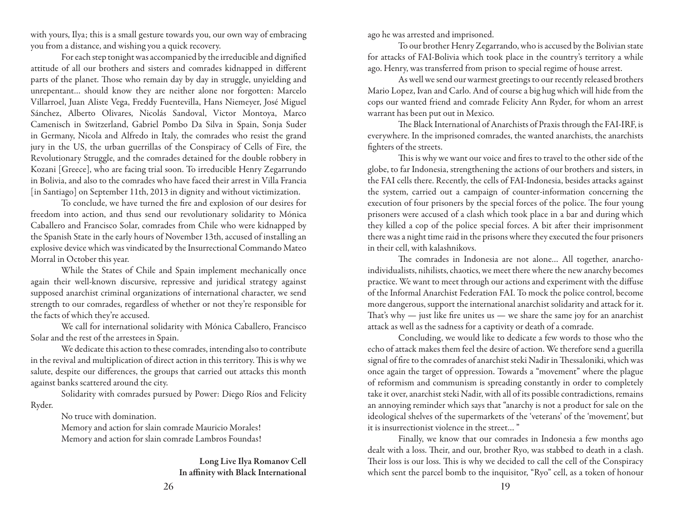with yours, Ilya; this is a small gesture towards you, our own way of embracing you from a distance, and wishing you a quick recovery.

For each step tonight was accompanied by the irreducible and dignified attitude of all our brothers and sisters and comrades kidnapped in different parts of the planet. Those who remain day by day in struggle, unyielding and unrepentant… should know they are neither alone nor forgotten: Marcelo Villarroel, Juan Aliste Vega, Freddy Fuentevilla, Hans Niemeyer, José Miguel Sánchez, Alberto Olivares, Nicolás Sandoval, Victor Montoya, Marco Camenisch in Switzerland, Gabriel Pombo Da Silva in Spain, Sonja Suder in Germany, Nicola and Alfredo in Italy, the comrades who resist the grand jury in the US, the urban guerrillas of the Conspiracy of Cells of Fire, the Revolutionary Struggle, and the comrades detained for the double robbery in Kozani [Greece], who are facing trial soon. To irreducible Henry Zegarrundo in Bolivia, and also to the comrades who have faced their arrest in Villa Francia [in Santiago] on September 11th, 2013 in dignity and without victimization.

To conclude, we have turned the fire and explosion of our desires for freedom into action, and thus send our revolutionary solidarity to Mónica Caballero and Francisco Solar, comrades from Chile who were kidnapped by the Spanish State in the early hours of November 13th, accused of installing an explosive device which was vindicated by the Insurrectional Commando Mateo Morral in October this year.

While the States of Chile and Spain implement mechanically once again their well-known discursive, repressive and juridical strategy against supposed anarchist criminal organizations of international character, we send strength to our comrades, regardless of whether or not they're responsible for the facts of which they're accused.

We call for international solidarity with Mónica Caballero, Francisco Solar and the rest of the arrestees in Spain.

We dedicate this action to these comrades, intending also to contribute in the revival and multiplication of direct action in this territory. This is why we salute, despite our differences, the groups that carried out attacks this month against banks scattered around the city.

Solidarity with comrades pursued by Power: Diego Ríos and Felicity Ryder.

No truce with domination.

Memory and action for slain comrade Mauricio Morales! Memory and action for slain comrade Lambros Foundas!

> Long Live Ilya Romanov Cell In affinity with Black International

ago he was arrested and imprisoned.

To our brother Henry Zegarrando, who is accused by the Bolivian state for attacks of FAI-Bolivia which took place in the country's territory a while ago. Henry, was transferred from prison to special regime of house arrest.

As well we send our warmest greetings to our recently released brothers Mario Lopez, Ivan and Carlo. And of course a big hug which will hide from the cops our wanted friend and comrade Felicity Ann Ryder, for whom an arrest warrant has been put out in Mexico.

The Black International of Anarchists of Praxis through the FAI-IRF, is everywhere. In the imprisoned comrades, the wanted anarchists, the anarchists fighters of the streets.

This is why we want our voice and fires to travel to the other side of the globe, to far Indonesia, strengthening the actions of our brothers and sisters, in the FAI cells there. Recently, the cells of FAI-Indonesia, besides attacks against the system, carried out a campaign of counter-information concerning the execution of four prisoners by the special forces of the police. The four young prisoners were accused of a clash which took place in a bar and during which they killed a cop of the police special forces. A bit after their imprisonment there was a night time raid in the prisons where they executed the four prisoners in their cell, with kalashnikovs.

The comrades in Indonesia are not alone… All together, anarchoindividualists, nihilists, chaotics, we meet there where the new anarchy becomes practice. We want to meet through our actions and experiment with the diffuse of the Informal Anarchist Federation FAI. To mock the police control, become more dangerous, support the international anarchist solidarity and attack for it. That's why — just like fire unites us — we share the same joy for an anarchist attack as well as the sadness for a captivity or death of a comrade.

Concluding, we would like to dedicate a few words to those who the echo of attack makes them feel the desire of action. We therefore send a guerilla signal of fire to the comrades of anarchist steki Nadir in Thessaloniki, which was once again the target of oppression. Towards a "movement" where the plague of reformism and communism is spreading constantly in order to completely take it over, anarchist steki Nadir, with all of its possible contradictions, remains an annoying reminder which says that "anarchy is not a product for sale on the ideological shelves of the supermarkets of the 'veterans' of the 'movement', but it is insurrectionist violence in the street… "

Finally, we know that our comrades in Indonesia a few months ago dealt with a loss. Their, and our, brother Ryo, was stabbed to death in a clash. Their loss is our loss. This is why we decided to call the cell of the Conspiracy which sent the parcel bomb to the inquisitor, "Ryo" cell, as a token of honour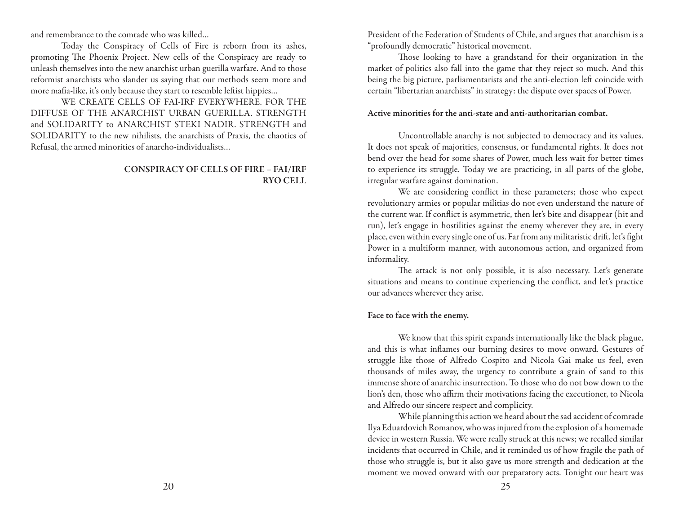and remembrance to the comrade who was killed…

Today the Conspiracy of Cells of Fire is reborn from its ashes, promoting The Phoenix Project. New cells of the Conspiracy are ready to unleash themselves into the new anarchist urban guerilla warfare. And to those reformist anarchists who slander us saying that our methods seem more and more mafia-like, it's only because they start to resemble leftist hippies…

WE CREATE CELLS OF FAI-IRF EVERYWHERE. FOR THE DIFFUSE OF THE ANARCHIST URBAN GUERILLA. STRENGTH and SOLIDARITY to ANARCHIST STEKI NADIR. STRENGTH and SOLIDARITY to the new nihilists, the anarchists of Praxis, the chaotics of Refusal, the armed minorities of anarcho-individualists…

### CONSPIRACY OF CELLS OF FIRE – FAI/IRF RYO CELL

President of the Federation of Students of Chile, and argues that anarchism is a "profoundly democratic" historical movement.

Those looking to have a grandstand for their organization in the market of politics also fall into the game that they reject so much. And this being the big picture, parliamentarists and the anti-election left coincide with certain "libertarian anarchists" in strategy: the dispute over spaces of Power.

### Active minorities for the anti-state and anti-authoritarian combat.

Uncontrollable anarchy is not subjected to democracy and its values. It does not speak of majorities, consensus, or fundamental rights. It does not bend over the head for some shares of Power, much less wait for better times to experience its struggle. Today we are practicing, in all parts of the globe, irregular warfare against domination.

We are considering conflict in these parameters; those who expect revolutionary armies or popular militias do not even understand the nature of the current war. If conflict is asymmetric, then let's bite and disappear (hit and run), let's engage in hostilities against the enemy wherever they are, in every place, even within every single one of us. Far from any militaristic drift, let's fight Power in a multiform manner, with autonomous action, and organized from informality.

The attack is not only possible, it is also necessary. Let's generate situations and means to continue experiencing the conflict, and let's practice our advances wherever they arise.

### Face to face with the enemy.

We know that this spirit expands internationally like the black plague, and this is what inflames our burning desires to move onward. Gestures of struggle like those of Alfredo Cospito and Nicola Gai make us feel, even thousands of miles away, the urgency to contribute a grain of sand to this immense shore of anarchic insurrection. To those who do not bow down to the lion's den, those who affirm their motivations facing the executioner, to Nicola and Alfredo our sincere respect and complicity.

While planning this action we heard about the sad accident of comrade Ilya Eduardovich Romanov, who was injured from the explosion of a homemade device in western Russia. We were really struck at this news; we recalled similar incidents that occurred in Chile, and it reminded us of how fragile the path of those who struggle is, but it also gave us more strength and dedication at the moment we moved onward with our preparatory acts. Tonight our heart was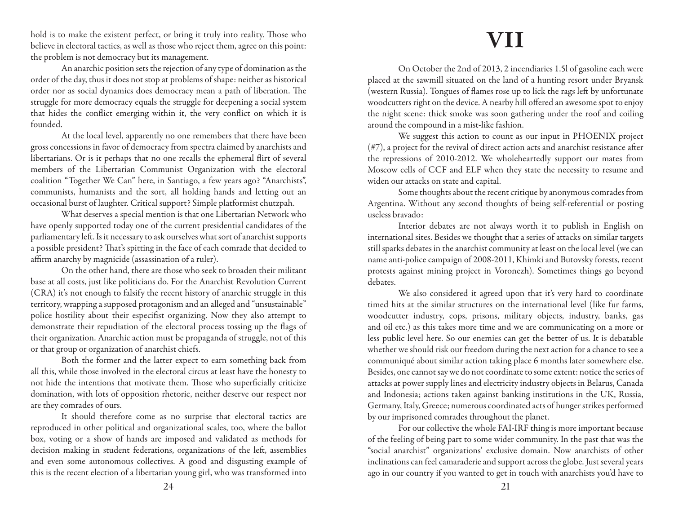hold is to make the existent perfect, or bring it truly into reality. Those who believe in electoral tactics, as well as those who reject them, agree on this point: the problem is not democracy but its management.

An anarchic position sets the rejection of any type of domination as the order of the day, thus it does not stop at problems of shape: neither as historical order nor as social dynamics does democracy mean a path of liberation. The struggle for more democracy equals the struggle for deepening a social system that hides the conflict emerging within it, the very conflict on which it is founded.

At the local level, apparently no one remembers that there have been gross concessions in favor of democracy from spectra claimed by anarchists and libertarians. Or is it perhaps that no one recalls the ephemeral flirt of several members of the Libertarian Communist Organization with the electoral coalition "Together We Can" here, in Santiago, a few years ago? "Anarchists", communists, humanists and the sort, all holding hands and letting out an occasional burst of laughter. Critical support? Simple platformist chutzpah.

What deserves a special mention is that one Libertarian Network who have openly supported today one of the current presidential candidates of the parliamentary left. Is it necessary to ask ourselves what sort of anarchist supports a possible president? That's spitting in the face of each comrade that decided to affirm anarchy by magnicide (assassination of a ruler).

On the other hand, there are those who seek to broaden their militant base at all costs, just like politicians do. For the Anarchist Revolution Current (CRA) it's not enough to falsify the recent history of anarchic struggle in this territory, wrapping a supposed protagonism and an alleged and "unsustainable" police hostility about their especifist organizing. Now they also attempt to demonstrate their repudiation of the electoral process tossing up the flags of their organization. Anarchic action must be propaganda of struggle, not of this or that group or organization of anarchist chiefs.

Both the former and the latter expect to earn something back from all this, while those involved in the electoral circus at least have the honesty to not hide the intentions that motivate them. Those who superficially criticize domination, with lots of opposition rhetoric, neither deserve our respect nor are they comrades of ours.

It should therefore come as no surprise that electoral tactics are reproduced in other political and organizational scales, too, where the ballot box, voting or a show of hands are imposed and validated as methods for decision making in student federations, organizations of the left, assemblies and even some autonomous collectives. A good and disgusting example of this is the recent election of a libertarian young girl, who was transformed into

## **VII**

On October the 2nd of 2013, 2 incendiaries 1.5l of gasoline each were placed at the sawmill situated on the land of a hunting resort under Bryansk (western Russia). Tongues of flames rose up to lick the rags left by unfortunate woodcutters right on the device. A nearby hill offered an awesome spot to enjoy the night scene: thick smoke was soon gathering under the roof and coiling around the compound in a mist-like fashion.

We suggest this action to count as our input in PHOENIX project (#7), a project for the revival of direct action acts and anarchist resistance after the repressions of 2010-2012. We wholeheartedly support our mates from Moscow cells of CCF and ELF when they state the necessity to resume and widen our attacks on state and capital.

Some thoughts about the recent critique by anonymous comrades from Argentina. Without any second thoughts of being self-referential or posting useless bravado:

Interior debates are not always worth it to publish in English on international sites. Besides we thought that a series of attacks on similar targets still sparks debates in the anarchist community at least on the local level (we can name anti-police campaign of 2008-2011, Khimki and Butovsky forests, recent protests against mining project in Voronezh). Sometimes things go beyond debates.

We also considered it agreed upon that it's very hard to coordinate timed hits at the similar structures on the international level (like fur farms, woodcutter industry, cops, prisons, military objects, industry, banks, gas and oil etc.) as this takes more time and we are communicating on a more or less public level here. So our enemies can get the better of us. It is debatable whether we should risk our freedom during the next action for a chance to see a communiqué about similar action taking place 6 months later somewhere else. Besides, one cannot say we do not coordinate to some extent: notice the series of attacks at power supply lines and electricity industry objects in Belarus, Canada and Indonesia; actions taken against banking institutions in the UK, Russia, Germany, Italy, Greece; numerous coordinated acts of hunger strikes performed by our imprisoned comrades throughout the planet.

For our collective the whole FAI-IRF thing is more important because of the feeling of being part to some wider community. In the past that was the "social anarchist" organizations' exclusive domain. Now anarchists of other inclinations can feel camaraderie and support across the globe. Just several years ago in our country if you wanted to get in touch with anarchists you'd have to